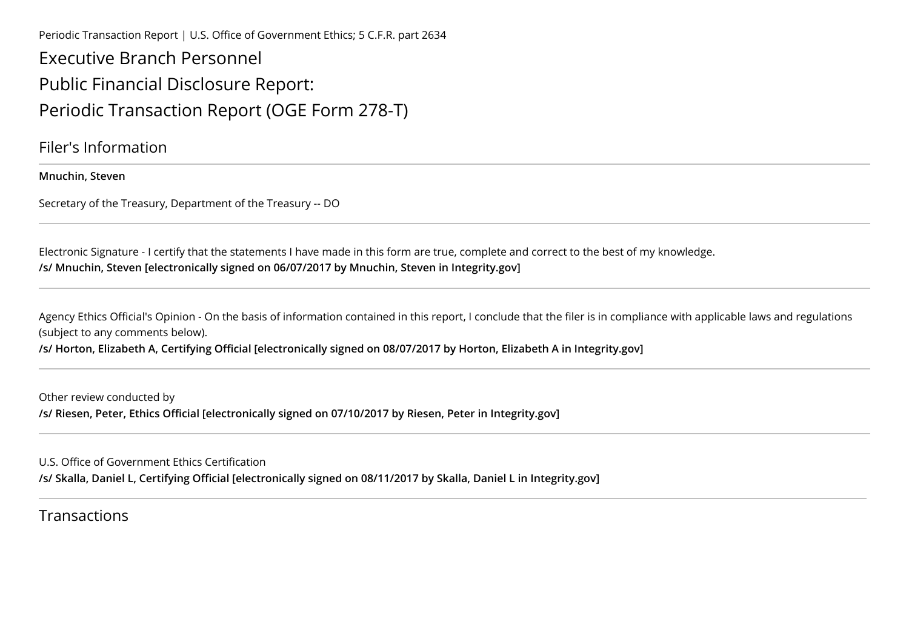Periodic Transaction Report | U.S. Office of Government Ethics; 5 C.F.R. part 2634

Executive Branch PersonnelPublic Financial Disclosure Report:Periodic Transaction Report (OGE Form 278-T)

Filer's Information

**Mnuchin, Steven**

Secretary of the Treasury, Department of the Treasury -- DO

Electronic Signature - I certify that the statements I have made in this form are true, complete and correct to the best of my knowledge.**/s/ Mnuchin, Steven [electronically signed on 06/07/2017 by Mnuchin, Steven in Integrity.gov]** 

Agency Ethics Official's Opinion - On the basis of information contained in this report, I conclude that the filer is in compliance with applicable laws and regulations (subject to any comments below).

**/s/ Horton, Elizabeth A, Certifying Official [electronically signed on 08/07/2017 by Horton, Elizabeth A in Integrity.gov]**

Other review conducted by**/s/ Riesen, Peter, Ethics Official [electronically signed on 07/10/2017 by Riesen, Peter in Integrity.gov]**

U.S. Office of Government Ethics Certification

**/s/ Skalla, Daniel L, Certifying Official [electronically signed on 08/11/2017 by Skalla, Daniel L in Integrity.gov]**

## Transactions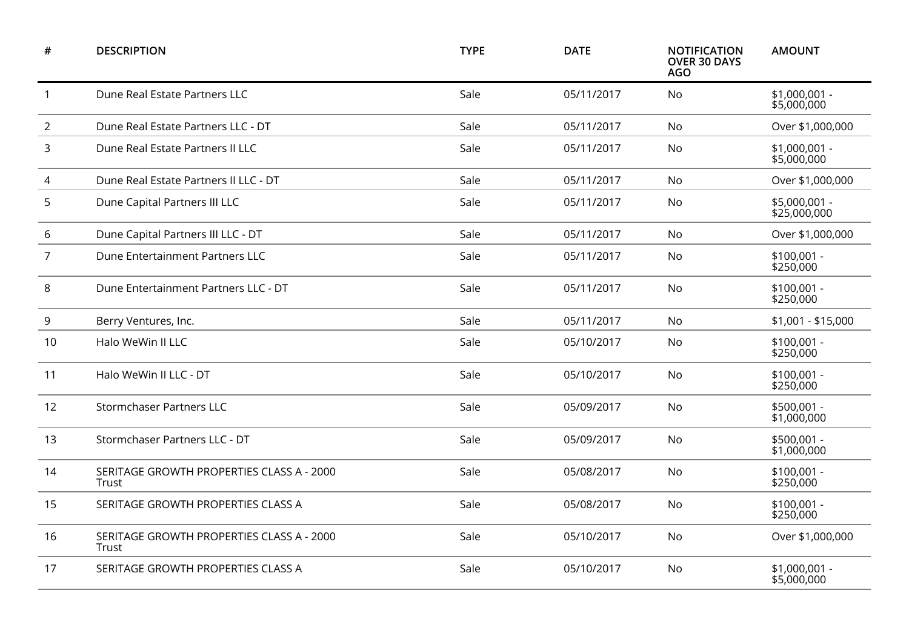| #              | <b>DESCRIPTION</b>                                 | <b>TYPE</b> | <b>DATE</b> | <b>NOTIFICATION</b><br><b>OVER 30 DAYS</b><br><b>AGO</b> | <b>AMOUNT</b>                 |
|----------------|----------------------------------------------------|-------------|-------------|----------------------------------------------------------|-------------------------------|
| $\mathbf{1}$   | Dune Real Estate Partners LLC                      | Sale        | 05/11/2017  | No                                                       | $$1,000,001 -$<br>\$5,000,000 |
| $\overline{2}$ | Dune Real Estate Partners LLC - DT                 | Sale        | 05/11/2017  | <b>No</b>                                                | Over \$1,000,000              |
| 3              | Dune Real Estate Partners II LLC                   | Sale        | 05/11/2017  | No                                                       | $$1,000,001 -$<br>\$5,000,000 |
| 4              | Dune Real Estate Partners II LLC - DT              | Sale        | 05/11/2017  | <b>No</b>                                                | Over \$1,000,000              |
| 5              | Dune Capital Partners III LLC                      | Sale        | 05/11/2017  | <b>No</b>                                                | \$5,000,001 -<br>\$25,000,000 |
| 6              | Dune Capital Partners III LLC - DT                 | Sale        | 05/11/2017  | <b>No</b>                                                | Over \$1,000,000              |
| $\overline{7}$ | Dune Entertainment Partners LLC                    | Sale        | 05/11/2017  | No                                                       | $$100,001 -$<br>\$250,000     |
| 8              | Dune Entertainment Partners LLC - DT               | Sale        | 05/11/2017  | <b>No</b>                                                | $$100,001 -$<br>\$250,000     |
| 9              | Berry Ventures, Inc.                               | Sale        | 05/11/2017  | <b>No</b>                                                | \$1,001 - \$15,000            |
| 10             | Halo WeWin II LLC                                  | Sale        | 05/10/2017  | <b>No</b>                                                | $$100,001 -$<br>\$250,000     |
| 11             | Halo WeWin II LLC - DT                             | Sale        | 05/10/2017  | No                                                       | $$100,001 -$<br>\$250,000     |
| 12             | <b>Stormchaser Partners LLC</b>                    | Sale        | 05/09/2017  | <b>No</b>                                                | \$500,001 -<br>\$1,000,000    |
| 13             | Stormchaser Partners LLC - DT                      | Sale        | 05/09/2017  | No                                                       | \$500,001 -<br>\$1,000,000    |
| 14             | SERITAGE GROWTH PROPERTIES CLASS A - 2000<br>Trust | Sale        | 05/08/2017  | No                                                       | $$100,001 -$<br>\$250,000     |
| 15             | SERITAGE GROWTH PROPERTIES CLASS A                 | Sale        | 05/08/2017  | <b>No</b>                                                | $$100,001 -$<br>\$250,000     |
| 16             | SERITAGE GROWTH PROPERTIES CLASS A - 2000<br>Trust | Sale        | 05/10/2017  | No                                                       | Over \$1,000,000              |
| 17             | SERITAGE GROWTH PROPERTIES CLASS A                 | Sale        | 05/10/2017  | No                                                       | \$1,000,001 -<br>\$5,000,000  |